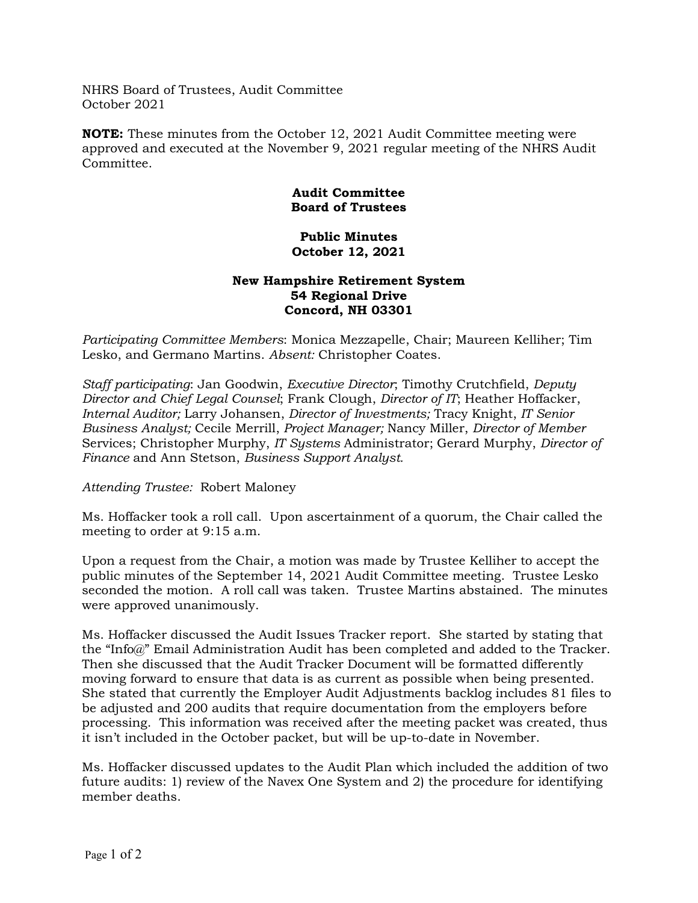NHRS Board of Trustees, Audit Committee October 2021

**NOTE:** These minutes from the October 12, 2021 Audit Committee meeting were approved and executed at the November 9, 2021 regular meeting of the NHRS Audit Committee.

## **Audit Committee Board of Trustees**

## **Public Minutes October 12, 2021**

## **New Hampshire Retirement System 54 Regional Drive Concord, NH 03301**

*Participating Committee Members*: Monica Mezzapelle, Chair; Maureen Kelliher; Tim Lesko, and Germano Martins. *Absent:* Christopher Coates.

*Staff participating*: Jan Goodwin, *Executive Director*; Timothy Crutchfield, *Deputy Director and Chief Legal Counsel*; Frank Clough, *Director of IT*; Heather Hoffacker, *Internal Auditor;* Larry Johansen, *Director of Investments;* Tracy Knight, *IT Senior Business Analyst;* Cecile Merrill, *Project Manager;* Nancy Miller, *Director of Member*  Services; Christopher Murphy, *IT Systems* Administrator; Gerard Murphy, *Director of Finance* and Ann Stetson, *Business Support Analyst.*

*Attending Trustee:* Robert Maloney

Ms. Hoffacker took a roll call. Upon ascertainment of a quorum, the Chair called the meeting to order at 9:15 a.m.

Upon a request from the Chair, a motion was made by Trustee Kelliher to accept the public minutes of the September 14, 2021 Audit Committee meeting. Trustee Lesko seconded the motion. A roll call was taken. Trustee Martins abstained. The minutes were approved unanimously.

Ms. Hoffacker discussed the Audit Issues Tracker report. She started by stating that the "Info@" Email Administration Audit has been completed and added to the Tracker. Then she discussed that the Audit Tracker Document will be formatted differently moving forward to ensure that data is as current as possible when being presented. She stated that currently the Employer Audit Adjustments backlog includes 81 files to be adjusted and 200 audits that require documentation from the employers before processing. This information was received after the meeting packet was created, thus it isn't included in the October packet, but will be up-to-date in November.

Ms. Hoffacker discussed updates to the Audit Plan which included the addition of two future audits: 1) review of the Navex One System and 2) the procedure for identifying member deaths.